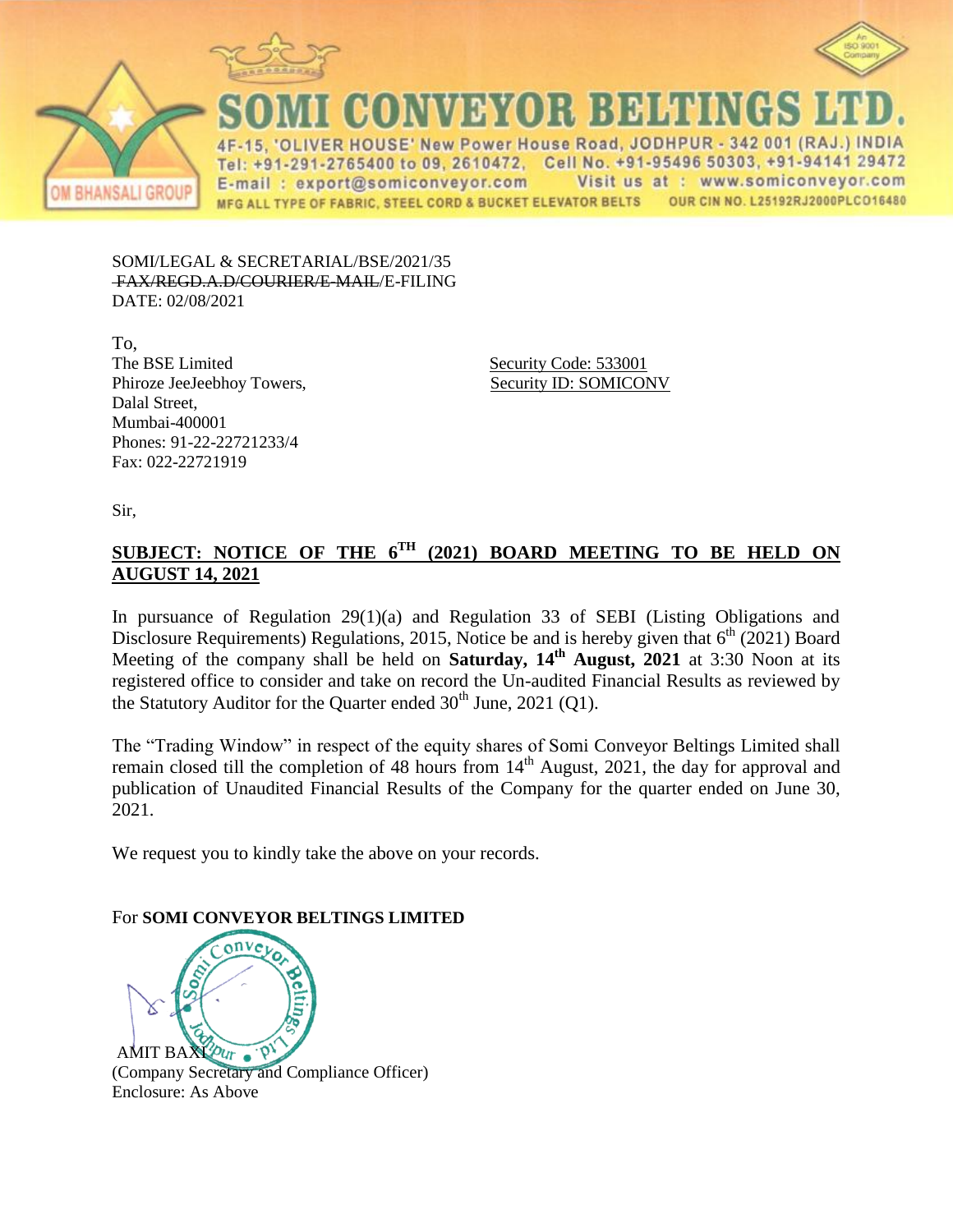



**BHANSALI GROUP** 

\%}}YO};}};}}}HHJI

ER HOUSE' New Power House Road, JODHPUR - 342 001 (RAJ.) INDIA Tel: +91-291-2765400 to 09, 2610472, Cell No. +91-95496 50303, +91-94141 29472 Visit us at : www.somiconveyor.com E-mail: export@somiconveyor.com OUR CIN NO. L25192RJ2000PLCO16480 MFG ALL TYPE OF FABRIC, STEEL CORD & BUCKET ELEVATOR BELTS

SOMI/LEGAL & SECRETARIAL/BSE/2021/35 FAX/REGD.A.D/COURIER/E-MAIL/E-FILING DATE: 02/08/2021

To, The BSE Limited Security Code: 533001 Phiroze JeeJeebhoy Towers, Security ID: SOMICONV Dalal Street, Mumbai-400001 Phones: 91-22-22721233/4 Fax: 022-22721919

Sir,

## **SUBJECT: NOTICE OF THE 6 TH (2021) BOARD MEETING TO BE HELD ON AUGUST 14, 2021**

In pursuance of Regulation 29(1)(a) and Regulation 33 of SEBI (Listing Obligations and Disclosure Requirements) Regulations, 2015, Notice be and is hereby given that  $6<sup>th</sup>$  (2021) Board Meeting of the company shall be held on **Saturday, 14<sup>th</sup> August, 2021** at 3:30 Noon at its registered office to consider and take on record the Un-audited Financial Results as reviewed by the Statutory Auditor for the Quarter ended  $30<sup>th</sup>$  June, 2021 (Q1).

The "Trading Window" in respect of the equity shares of Somi Conveyor Beltings Limited shall remain closed till the completion of 48 hours from 14<sup>th</sup> August, 2021, the day for approval and publication of Unaudited Financial Results of the Company for the quarter ended on June 30, 2021.

We request you to kindly take the above on your records.

## For **SOMI CONVEYOR BELTINGS LIMITED**



(Company Secretary and Compliance Officer) Enclosure: As Above